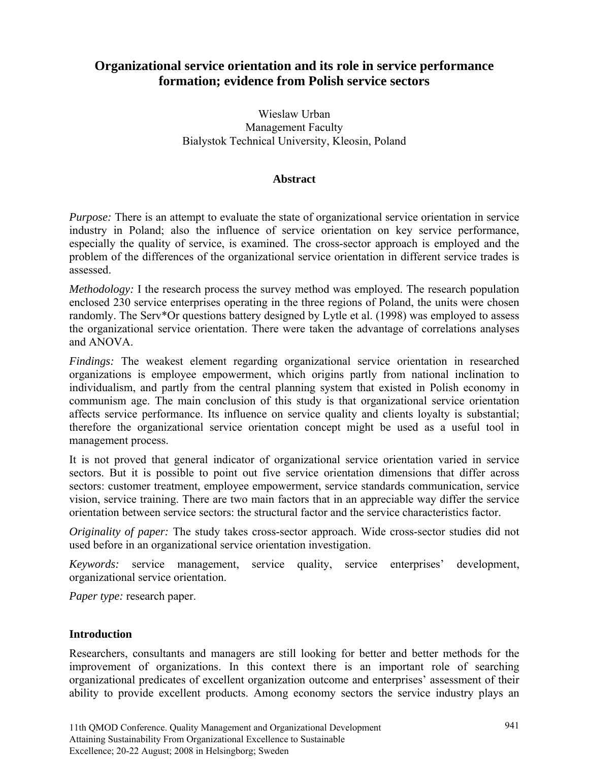# **Organizational service orientation and its role in service performance formation; evidence from Polish service sectors**

Wieslaw Urban Management Faculty Bialystok Technical University, Kleosin, Poland

#### **Abstract**

*Purpose:* There is an attempt to evaluate the state of organizational service orientation in service industry in Poland; also the influence of service orientation on key service performance, especially the quality of service, is examined. The cross-sector approach is employed and the problem of the differences of the organizational service orientation in different service trades is assessed.

*Methodology:* I the research process the survey method was employed. The research population enclosed 230 service enterprises operating in the three regions of Poland, the units were chosen randomly. The Serv\*Or questions battery designed by Lytle et al. (1998) was employed to assess the organizational service orientation. There were taken the advantage of correlations analyses and ANOVA.

*Findings:* The weakest element regarding organizational service orientation in researched organizations is employee empowerment, which origins partly from national inclination to individualism, and partly from the central planning system that existed in Polish economy in communism age. The main conclusion of this study is that organizational service orientation affects service performance. Its influence on service quality and clients loyalty is substantial; therefore the organizational service orientation concept might be used as a useful tool in management process.

It is not proved that general indicator of organizational service orientation varied in service sectors. But it is possible to point out five service orientation dimensions that differ across sectors: customer treatment, employee empowerment, service standards communication, service vision, service training. There are two main factors that in an appreciable way differ the service orientation between service sectors: the structural factor and the service characteristics factor.

*Originality of paper:* The study takes cross-sector approach. Wide cross-sector studies did not used before in an organizational service orientation investigation.

*Keywords:* service management, service quality, service enterprises' development, organizational service orientation.

*Paper type:* research paper.

#### **Introduction**

Researchers, consultants and managers are still looking for better and better methods for the improvement of organizations. In this context there is an important role of searching organizational predicates of excellent organization outcome and enterprises' assessment of their ability to provide excellent products. Among economy sectors the service industry plays an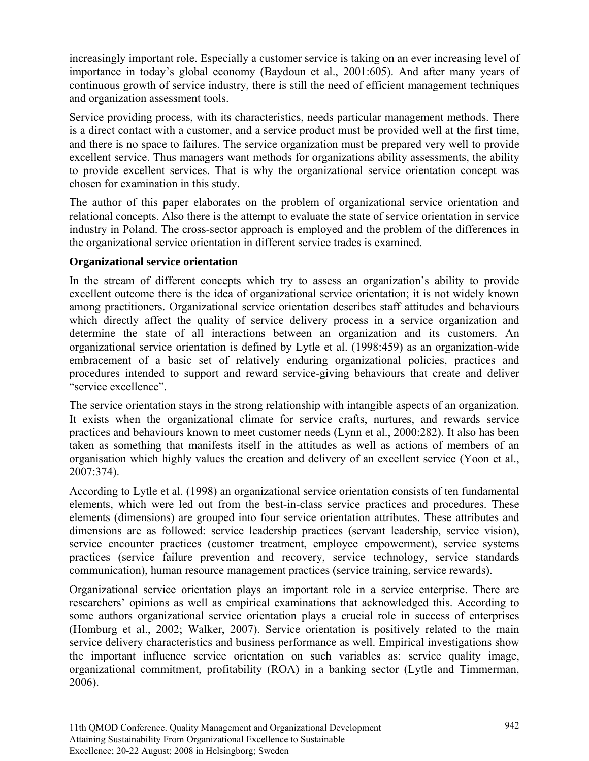increasingly important role. Especially a customer service is taking on an ever increasing level of importance in today's global economy (Baydoun et al., 2001:605). And after many years of continuous growth of service industry, there is still the need of efficient management techniques and organization assessment tools.

Service providing process, with its characteristics, needs particular management methods. There is a direct contact with a customer, and a service product must be provided well at the first time, and there is no space to failures. The service organization must be prepared very well to provide excellent service. Thus managers want methods for organizations ability assessments, the ability to provide excellent services. That is why the organizational service orientation concept was chosen for examination in this study.

The author of this paper elaborates on the problem of organizational service orientation and relational concepts. Also there is the attempt to evaluate the state of service orientation in service industry in Poland. The cross-sector approach is employed and the problem of the differences in the organizational service orientation in different service trades is examined.

## **Organizational service orientation**

In the stream of different concepts which try to assess an organization's ability to provide excellent outcome there is the idea of organizational service orientation; it is not widely known among practitioners. Organizational service orientation describes staff attitudes and behaviours which directly affect the quality of service delivery process in a service organization and determine the state of all interactions between an organization and its customers. An organizational service orientation is defined by Lytle et al. (1998:459) as an organization-wide embracement of a basic set of relatively enduring organizational policies, practices and procedures intended to support and reward service-giving behaviours that create and deliver "service excellence".

The service orientation stays in the strong relationship with intangible aspects of an organization. It exists when the organizational climate for service crafts, nurtures, and rewards service practices and behaviours known to meet customer needs (Lynn et al., 2000:282). It also has been taken as something that manifests itself in the attitudes as well as actions of members of an organisation which highly values the creation and delivery of an excellent service (Yoon et al., 2007:374).

According to Lytle et al. (1998) an organizational service orientation consists of ten fundamental elements, which were led out from the best-in-class service practices and procedures. These elements (dimensions) are grouped into four service orientation attributes. These attributes and dimensions are as followed: service leadership practices (servant leadership, service vision), service encounter practices (customer treatment, employee empowerment), service systems practices (service failure prevention and recovery, service technology, service standards communication), human resource management practices (service training, service rewards).

Organizational service orientation plays an important role in a service enterprise. There are researchers' opinions as well as empirical examinations that acknowledged this. According to some authors organizational service orientation plays a crucial role in success of enterprises (Homburg et al., 2002; Walker, 2007). Service orientation is positively related to the main service delivery characteristics and business performance as well. Empirical investigations show the important influence service orientation on such variables as: service quality image, organizational commitment, profitability (ROA) in a banking sector (Lytle and Timmerman, 2006).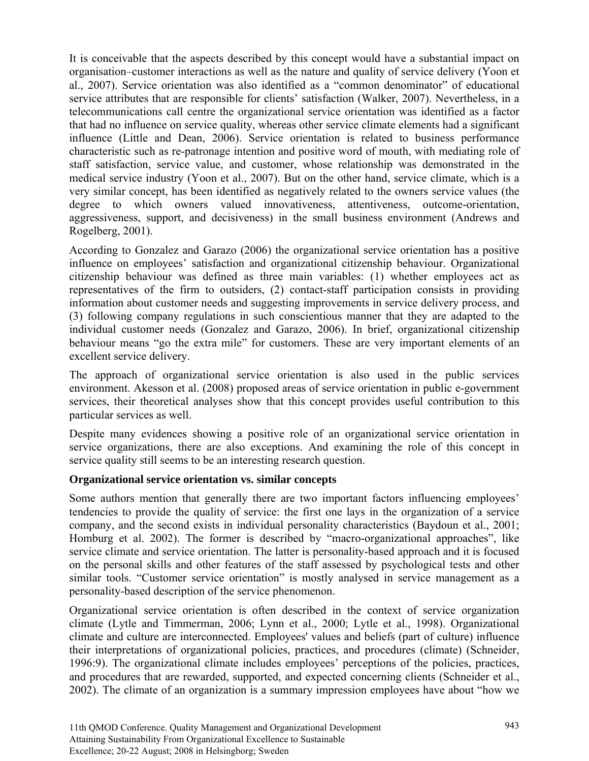It is conceivable that the aspects described by this concept would have a substantial impact on organisation–customer interactions as well as the nature and quality of service delivery (Yoon et al., 2007). Service orientation was also identified as a "common denominator" of educational service attributes that are responsible for clients' satisfaction (Walker, 2007). Nevertheless, in a telecommunications call centre the organizational service orientation was identified as a factor that had no influence on service quality, whereas other service climate elements had a significant influence (Little and Dean, 2006). Service orientation is related to business performance characteristic such as re-patronage intention and positive word of mouth, with mediating role of staff satisfaction, service value, and customer, whose relationship was demonstrated in the medical service industry (Yoon et al., 2007). But on the other hand, service climate, which is a very similar concept, has been identified as negatively related to the owners service values (the degree to which owners valued innovativeness, attentiveness, outcome-orientation, aggressiveness, support, and decisiveness) in the small business environment (Andrews and Rogelberg, 2001).

According to Gonzalez and Garazo (2006) the organizational service orientation has a positive influence on employees' satisfaction and organizational citizenship behaviour. Organizational citizenship behaviour was defined as three main variables: (1) whether employees act as representatives of the firm to outsiders, (2) contact-staff participation consists in providing information about customer needs and suggesting improvements in service delivery process, and (3) following company regulations in such conscientious manner that they are adapted to the individual customer needs (Gonzalez and Garazo, 2006). In brief, organizational citizenship behaviour means "go the extra mile" for customers. These are very important elements of an excellent service delivery.

The approach of organizational service orientation is also used in the public services environment. Akesson et al. (2008) proposed areas of service orientation in public e-government services, their theoretical analyses show that this concept provides useful contribution to this particular services as well.

Despite many evidences showing a positive role of an organizational service orientation in service organizations, there are also exceptions. And examining the role of this concept in service quality still seems to be an interesting research question.

## **Organizational service orientation vs. similar concepts**

Some authors mention that generally there are two important factors influencing employees' tendencies to provide the quality of service: the first one lays in the organization of a service company, and the second exists in individual personality characteristics (Baydoun et al., 2001; Homburg et al. 2002). The former is described by "macro-organizational approaches", like service climate and service orientation. The latter is personality-based approach and it is focused on the personal skills and other features of the staff assessed by psychological tests and other similar tools. "Customer service orientation" is mostly analysed in service management as a personality-based description of the service phenomenon.

Organizational service orientation is often described in the context of service organization climate (Lytle and Timmerman, 2006; Lynn et al., 2000; Lytle et al., 1998). Organizational climate and culture are interconnected. Employees' values and beliefs (part of culture) influence their interpretations of organizational policies, practices, and procedures (climate) (Schneider, 1996:9). The organizational climate includes employees' perceptions of the policies, practices, and procedures that are rewarded, supported, and expected concerning clients (Schneider et al., 2002). The climate of an organization is a summary impression employees have about "how we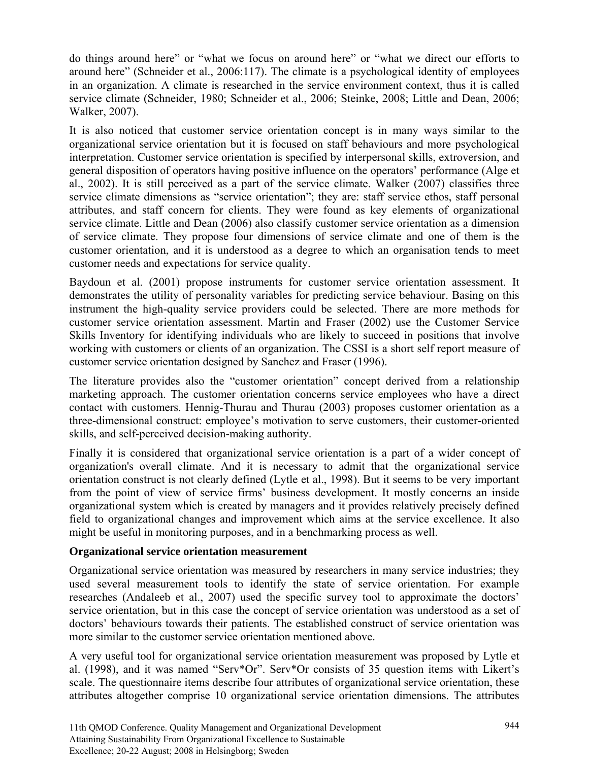do things around here" or "what we focus on around here" or "what we direct our efforts to around here" (Schneider et al., 2006:117). The climate is a psychological identity of employees in an organization. A climate is researched in the service environment context, thus it is called service climate (Schneider, 1980; Schneider et al., 2006; Steinke, 2008; Little and Dean, 2006; Walker, 2007).

It is also noticed that customer service orientation concept is in many ways similar to the organizational service orientation but it is focused on staff behaviours and more psychological interpretation. Customer service orientation is specified by interpersonal skills, extroversion, and general disposition of operators having positive influence on the operators' performance (Alge et al., 2002). It is still perceived as a part of the service climate. Walker (2007) classifies three service climate dimensions as "service orientation"; they are: staff service ethos, staff personal attributes, and staff concern for clients. They were found as key elements of organizational service climate. Little and Dean (2006) also classify customer service orientation as a dimension of service climate. They propose four dimensions of service climate and one of them is the customer orientation, and it is understood as a degree to which an organisation tends to meet customer needs and expectations for service quality.

Baydoun et al. (2001) propose instruments for customer service orientation assessment. It demonstrates the utility of personality variables for predicting service behaviour. Basing on this instrument the high-quality service providers could be selected. There are more methods for customer service orientation assessment. Martin and Fraser (2002) use the Customer Service Skills Inventory for identifying individuals who are likely to succeed in positions that involve working with customers or clients of an organization. The CSSI is a short self report measure of customer service orientation designed by Sanchez and Fraser (1996).

The literature provides also the "customer orientation" concept derived from a relationship marketing approach. The customer orientation concerns service employees who have a direct contact with customers. Hennig-Thurau and Thurau (2003) proposes customer orientation as a three-dimensional construct: employee's motivation to serve customers, their customer-oriented skills, and self-perceived decision-making authority.

Finally it is considered that organizational service orientation is a part of a wider concept of organization's overall climate. And it is necessary to admit that the organizational service orientation construct is not clearly defined (Lytle et al., 1998). But it seems to be very important from the point of view of service firms' business development. It mostly concerns an inside organizational system which is created by managers and it provides relatively precisely defined field to organizational changes and improvement which aims at the service excellence. It also might be useful in monitoring purposes, and in a benchmarking process as well.

## **Organizational service orientation measurement**

Organizational service orientation was measured by researchers in many service industries; they used several measurement tools to identify the state of service orientation. For example researches (Andaleeb et al., 2007) used the specific survey tool to approximate the doctors' service orientation, but in this case the concept of service orientation was understood as a set of doctors' behaviours towards their patients. The established construct of service orientation was more similar to the customer service orientation mentioned above.

A very useful tool for organizational service orientation measurement was proposed by Lytle et al. (1998), and it was named "Serv\*Or". Serv\*Or consists of 35 question items with Likert's scale. The questionnaire items describe four attributes of organizational service orientation, these attributes altogether comprise 10 organizational service orientation dimensions. The attributes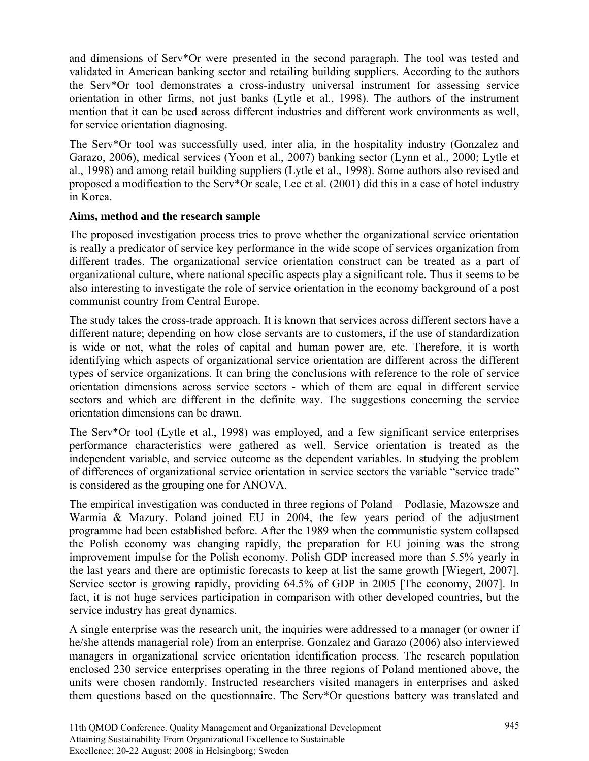and dimensions of Serv\*Or were presented in the second paragraph. The tool was tested and validated in American banking sector and retailing building suppliers. According to the authors the Serv\*Or tool demonstrates a cross-industry universal instrument for assessing service orientation in other firms, not just banks (Lytle et al., 1998). The authors of the instrument mention that it can be used across different industries and different work environments as well, for service orientation diagnosing.

The Serv\*Or tool was successfully used, inter alia, in the hospitality industry (Gonzalez and Garazo, 2006), medical services (Yoon et al., 2007) banking sector (Lynn et al., 2000; Lytle et al., 1998) and among retail building suppliers (Lytle et al., 1998). Some authors also revised and proposed a modification to the Serv\*Or scale, Lee et al. (2001) did this in a case of hotel industry in Korea.

## **Aims, method and the research sample**

The proposed investigation process tries to prove whether the organizational service orientation is really a predicator of service key performance in the wide scope of services organization from different trades. The organizational service orientation construct can be treated as a part of organizational culture, where national specific aspects play a significant role. Thus it seems to be also interesting to investigate the role of service orientation in the economy background of a post communist country from Central Europe.

The study takes the cross-trade approach. It is known that services across different sectors have a different nature; depending on how close servants are to customers, if the use of standardization is wide or not, what the roles of capital and human power are, etc. Therefore, it is worth identifying which aspects of organizational service orientation are different across the different types of service organizations. It can bring the conclusions with reference to the role of service orientation dimensions across service sectors - which of them are equal in different service sectors and which are different in the definite way. The suggestions concerning the service orientation dimensions can be drawn.

The Serv\*Or tool (Lytle et al., 1998) was employed, and a few significant service enterprises performance characteristics were gathered as well. Service orientation is treated as the independent variable, and service outcome as the dependent variables. In studying the problem of differences of organizational service orientation in service sectors the variable "service trade" is considered as the grouping one for ANOVA.

The empirical investigation was conducted in three regions of Poland – Podlasie, Mazowsze and Warmia & Mazury. Poland joined EU in 2004, the few years period of the adjustment programme had been established before. After the 1989 when the communistic system collapsed the Polish economy was changing rapidly, the preparation for EU joining was the strong improvement impulse for the Polish economy. Polish GDP increased more than 5.5% yearly in the last years and there are optimistic forecasts to keep at list the same growth [Wiegert, 2007]. Service sector is growing rapidly, providing 64.5% of GDP in 2005 [The economy, 2007]. In fact, it is not huge services participation in comparison with other developed countries, but the service industry has great dynamics.

A single enterprise was the research unit, the inquiries were addressed to a manager (or owner if he/she attends managerial role) from an enterprise. Gonzalez and Garazo (2006) also interviewed managers in organizational service orientation identification process. The research population enclosed 230 service enterprises operating in the three regions of Poland mentioned above, the units were chosen randomly. Instructed researchers visited managers in enterprises and asked them questions based on the questionnaire. The Serv\*Or questions battery was translated and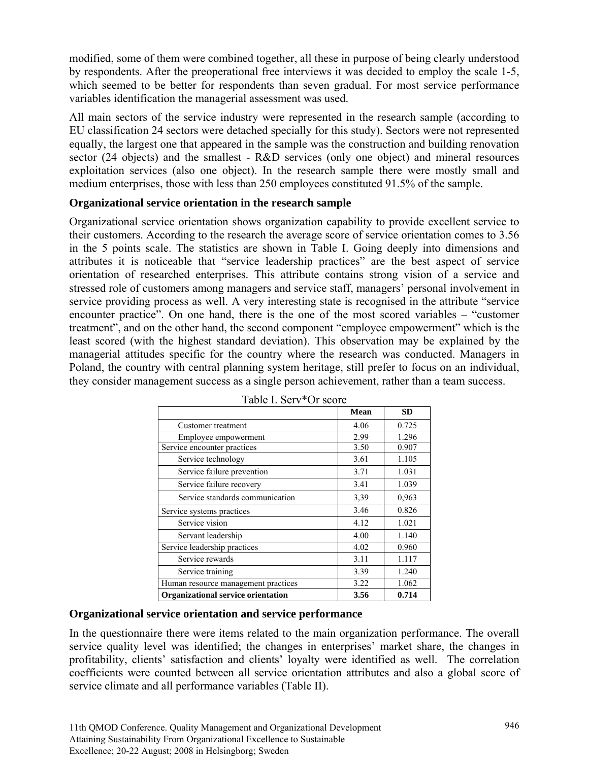modified, some of them were combined together, all these in purpose of being clearly understood by respondents. After the preoperational free interviews it was decided to employ the scale 1-5, which seemed to be better for respondents than seven gradual. For most service performance variables identification the managerial assessment was used.

All main sectors of the service industry were represented in the research sample (according to EU classification 24 sectors were detached specially for this study). Sectors were not represented equally, the largest one that appeared in the sample was the construction and building renovation sector (24 objects) and the smallest - R&D services (only one object) and mineral resources exploitation services (also one object). In the research sample there were mostly small and medium enterprises, those with less than 250 employees constituted 91.5% of the sample.

## **Organizational service orientation in the research sample**

Organizational service orientation shows organization capability to provide excellent service to their customers. According to the research the average score of service orientation comes to 3.56 in the 5 points scale. The statistics are shown in Table I. Going deeply into dimensions and attributes it is noticeable that "service leadership practices" are the best aspect of service orientation of researched enterprises. This attribute contains strong vision of a service and stressed role of customers among managers and service staff, managers' personal involvement in service providing process as well. A very interesting state is recognised in the attribute "service encounter practice". On one hand, there is the one of the most scored variables – "customer treatment", and on the other hand, the second component "employee empowerment" which is the least scored (with the highest standard deviation). This observation may be explained by the managerial attitudes specific for the country where the research was conducted. Managers in Poland, the country with central planning system heritage, still prefer to focus on an individual, they consider management success as a single person achievement, rather than a team success.

|                                           | <b>Mean</b> | <b>SD</b> |
|-------------------------------------------|-------------|-----------|
| Customer treatment                        | 4.06        | 0.725     |
| Employee empowerment                      | 2.99        | 1.296     |
| Service encounter practices               | 3.50        | 0.907     |
| Service technology                        | 3.61        | 1.105     |
| Service failure prevention                | 3.71        | 1.031     |
| Service failure recovery                  | 3.41        | 1.039     |
| Service standards communication           | 3,39        | 0,963     |
| Service systems practices                 | 3.46        | 0.826     |
| Service vision                            | 4.12        | 1.021     |
| Servant leadership                        | 4.00        | 1.140     |
| Service leadership practices              | 4.02        | 0.960     |
| Service rewards                           | 3.11        | 1.117     |
| Service training                          | 3.39        | 1.240     |
| Human resource management practices       | 3.22        | 1.062     |
| <b>Organizational service orientation</b> | 3.56        | 0.714     |

Table I. Serv\*Or score

#### **Organizational service orientation and service performance**

In the questionnaire there were items related to the main organization performance. The overall service quality level was identified; the changes in enterprises' market share, the changes in profitability, clients' satisfaction and clients' loyalty were identified as well. The correlation coefficients were counted between all service orientation attributes and also a global score of service climate and all performance variables (Table II).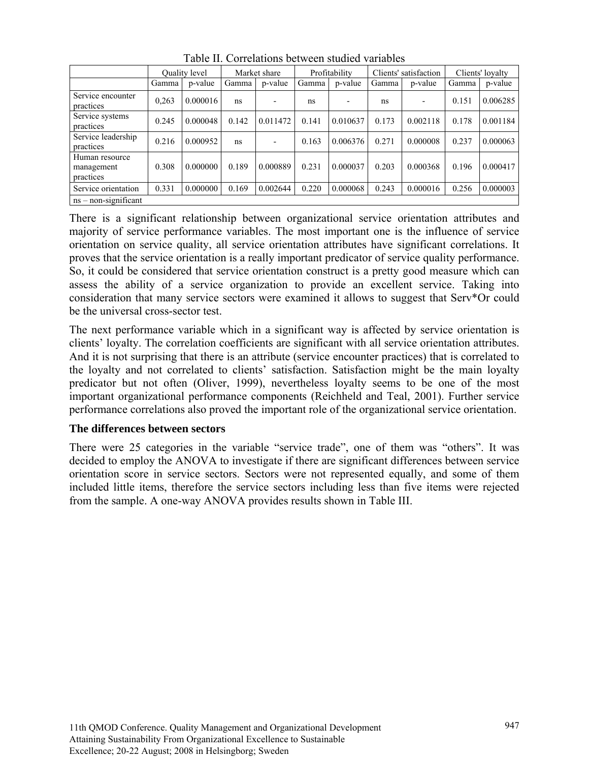|                                           | <b>Ouality level</b> |          | Market share |          | Profitability |          | Clients' satisfaction |          | Clients' loyalty |          |
|-------------------------------------------|----------------------|----------|--------------|----------|---------------|----------|-----------------------|----------|------------------|----------|
|                                           | Gamma                | p-value  | Gamma        | p-value  | Gamma         | p-value  | Gamma                 | p-value  | Gamma            | p-value  |
| Service encounter<br>practices            | 0.263                | 0.000016 | ns           |          | ns            |          | ns                    |          | 0.151            | 0.006285 |
| Service systems<br>practices              | 0.245                | 0.000048 | 0.142        | 0.011472 | 0.141         | 0.010637 | 0.173                 | 0.002118 | 0.178            | 0.001184 |
| Service leadership<br>practices           | 0.216                | 0.000952 | ns           |          | 0.163         | 0.006376 | 0.271                 | 0.000008 | 0.237            | 0.000063 |
| Human resource<br>management<br>practices | 0.308                | 0.000000 | 0.189        | 0.000889 | 0.231         | 0.000037 | 0.203                 | 0.000368 | 0.196            | 0.000417 |
| Service orientation                       | 0.331                | 0.000000 | 0.169        | 0.002644 | 0.220         | 0.000068 | 0.243                 | 0.000016 | 0.256            | 0.000003 |
| $ns - non-significant$                    |                      |          |              |          |               |          |                       |          |                  |          |

Table II. Correlations between studied variables

There is a significant relationship between organizational service orientation attributes and majority of service performance variables. The most important one is the influence of service orientation on service quality, all service orientation attributes have significant correlations. It proves that the service orientation is a really important predicator of service quality performance. So, it could be considered that service orientation construct is a pretty good measure which can assess the ability of a service organization to provide an excellent service. Taking into consideration that many service sectors were examined it allows to suggest that Serv\*Or could be the universal cross-sector test.

The next performance variable which in a significant way is affected by service orientation is clients' loyalty. The correlation coefficients are significant with all service orientation attributes. And it is not surprising that there is an attribute (service encounter practices) that is correlated to the loyalty and not correlated to clients' satisfaction. Satisfaction might be the main loyalty predicator but not often (Oliver, 1999), nevertheless loyalty seems to be one of the most important organizational performance components (Reichheld and Teal, 2001). Further service performance correlations also proved the important role of the organizational service orientation.

## **The differences between sectors**

There were 25 categories in the variable "service trade", one of them was "others". It was decided to employ the ANOVA to investigate if there are significant differences between service orientation score in service sectors. Sectors were not represented equally, and some of them included little items, therefore the service sectors including less than five items were rejected from the sample. A one-way ANOVA provides results shown in Table III.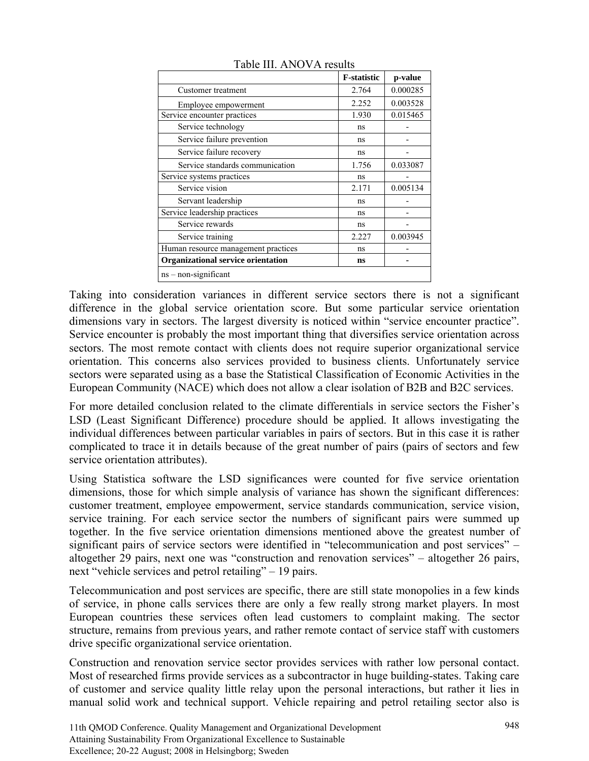|                                     | <b>F-statistic</b> | p-value  |
|-------------------------------------|--------------------|----------|
| Customer treatment                  | 2.764              | 0.000285 |
| Employee empowerment                | 2.252              | 0.003528 |
| Service encounter practices         | 1.930              | 0.015465 |
| Service technology                  | ns                 |          |
| Service failure prevention          | ns                 |          |
| Service failure recovery            | ns                 |          |
| Service standards communication     | 1.756              | 0.033087 |
| Service systems practices           | ns                 |          |
| Service vision                      | 2.171              | 0.005134 |
| Servant leadership                  | ns                 |          |
| Service leadership practices        | ns                 |          |
| Service rewards                     | ns                 |          |
| Service training                    | 2.227              | 0.003945 |
| Human resource management practices | ns                 |          |
| Organizational service orientation  | ns                 |          |
| ns - non-significant                |                    |          |

Table III. ANOVA results

Taking into consideration variances in different service sectors there is not a significant difference in the global service orientation score. But some particular service orientation dimensions vary in sectors. The largest diversity is noticed within "service encounter practice". Service encounter is probably the most important thing that diversifies service orientation across sectors. The most remote contact with clients does not require superior organizational service orientation. This concerns also services provided to business clients. Unfortunately service sectors were separated using as a base the Statistical Classification of Economic Activities in the European Community (NACE) which does not allow a clear isolation of B2B and B2C services.

For more detailed conclusion related to the climate differentials in service sectors the Fisher's LSD (Least Significant Difference) procedure should be applied. It allows investigating the individual differences between particular variables in pairs of sectors. But in this case it is rather complicated to trace it in details because of the great number of pairs (pairs of sectors and few service orientation attributes).

Using Statistica software the LSD significances were counted for five service orientation dimensions, those for which simple analysis of variance has shown the significant differences: customer treatment, employee empowerment, service standards communication, service vision, service training. For each service sector the numbers of significant pairs were summed up together. In the five service orientation dimensions mentioned above the greatest number of significant pairs of service sectors were identified in "telecommunication and post services" – altogether 29 pairs, next one was "construction and renovation services" – altogether 26 pairs, next "vehicle services and petrol retailing" – 19 pairs.

Telecommunication and post services are specific, there are still state monopolies in a few kinds of service, in phone calls services there are only a few really strong market players. In most European countries these services often lead customers to complaint making. The sector structure, remains from previous years, and rather remote contact of service staff with customers drive specific organizational service orientation.

Construction and renovation service sector provides services with rather low personal contact. Most of researched firms provide services as a subcontractor in huge building-states. Taking care of customer and service quality little relay upon the personal interactions, but rather it lies in manual solid work and technical support. Vehicle repairing and petrol retailing sector also is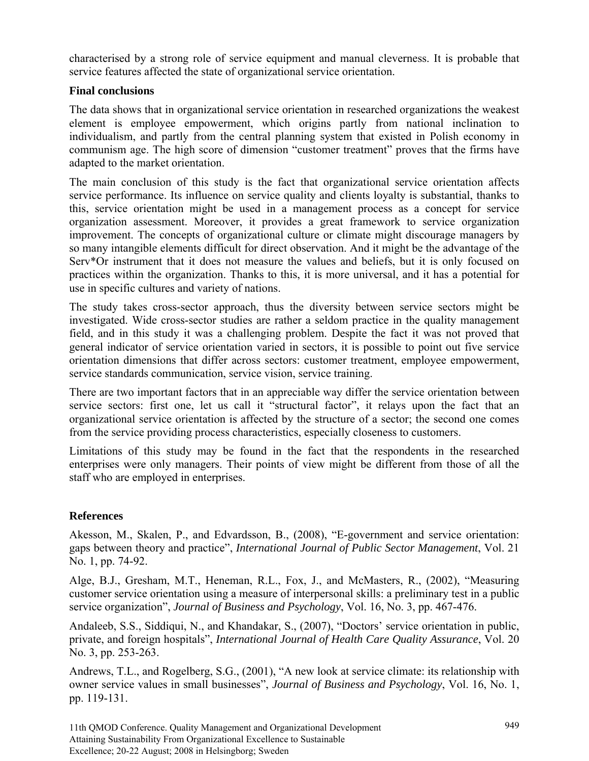characterised by a strong role of service equipment and manual cleverness. It is probable that service features affected the state of organizational service orientation.

#### **Final conclusions**

The data shows that in organizational service orientation in researched organizations the weakest element is employee empowerment, which origins partly from national inclination to individualism, and partly from the central planning system that existed in Polish economy in communism age. The high score of dimension "customer treatment" proves that the firms have adapted to the market orientation.

The main conclusion of this study is the fact that organizational service orientation affects service performance. Its influence on service quality and clients loyalty is substantial, thanks to this, service orientation might be used in a management process as a concept for service organization assessment. Moreover, it provides a great framework to service organization improvement. The concepts of organizational culture or climate might discourage managers by so many intangible elements difficult for direct observation. And it might be the advantage of the Serv\*Or instrument that it does not measure the values and beliefs, but it is only focused on practices within the organization. Thanks to this, it is more universal, and it has a potential for use in specific cultures and variety of nations.

The study takes cross-sector approach, thus the diversity between service sectors might be investigated. Wide cross-sector studies are rather a seldom practice in the quality management field, and in this study it was a challenging problem. Despite the fact it was not proved that general indicator of service orientation varied in sectors, it is possible to point out five service orientation dimensions that differ across sectors: customer treatment, employee empowerment, service standards communication, service vision, service training.

There are two important factors that in an appreciable way differ the service orientation between service sectors: first one, let us call it "structural factor", it relays upon the fact that an organizational service orientation is affected by the structure of a sector; the second one comes from the service providing process characteristics, especially closeness to customers.

Limitations of this study may be found in the fact that the respondents in the researched enterprises were only managers. Their points of view might be different from those of all the staff who are employed in enterprises.

## **References**

Akesson, M., Skalen, P., and Edvardsson, B., (2008), "E-government and service orientation: gaps between theory and practice", *International Journal of Public Sector Management*, Vol. 21 No. 1, pp. 74-92.

Alge, B.J., Gresham, M.T., Heneman, R.L., Fox, J., and McMasters, R., (2002), "Measuring customer service orientation using a measure of interpersonal skills: a preliminary test in a public service organization", *Journal of Business and Psychology*, Vol. 16, No. 3, pp. 467-476.

Andaleeb, S.S., Siddiqui, N., and Khandakar, S., (2007), "Doctors' service orientation in public, private, and foreign hospitals", *International Journal of Health Care Quality Assurance*, Vol. 20 No. 3, pp. 253-263.

Andrews, T.L., and Rogelberg, S.G., (2001), "A new look at service climate: its relationship with owner service values in small businesses", *Journal of Business and Psychology*, Vol. 16, No. 1, pp. 119-131.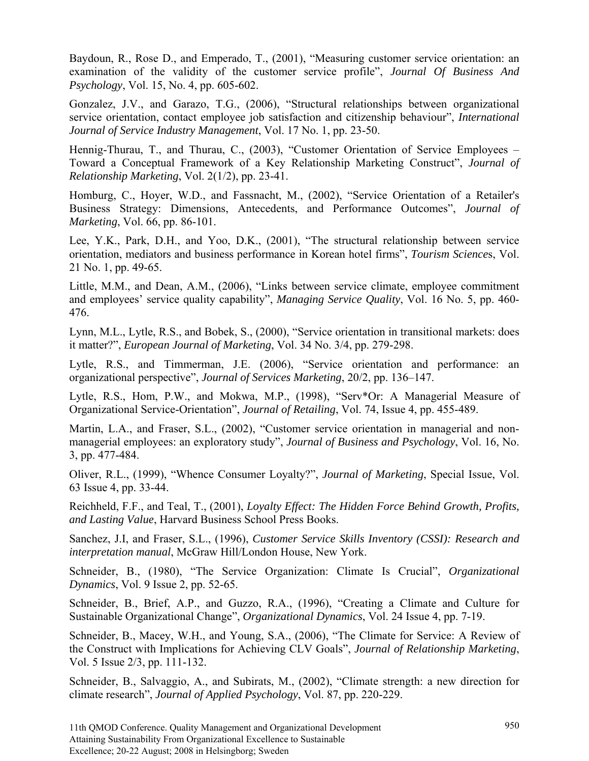Baydoun, R., Rose D., and Emperado, T., (2001), "Measuring customer service orientation: an examination of the validity of the customer service profile", *Journal Of Business And Psychology*, Vol. 15, No. 4, pp. 605-602.

Gonzalez, J.V., and Garazo, T.G., (2006), "Structural relationships between organizational service orientation, contact employee job satisfaction and citizenship behaviour", *International Journal of Service Industry Management*, Vol. 17 No. 1, pp. 23-50.

Hennig-Thurau, T., and Thurau, C., (2003), "Customer Orientation of Service Employees – Toward a Conceptual Framework of a Key Relationship Marketing Construct", *Journal of Relationship Marketing*, Vol. 2(1/2), pp. 23-41.

Homburg, C., Hoyer, W.D., and Fassnacht, M., (2002), "Service Orientation of a Retailer's Business Strategy: Dimensions, Antecedents, and Performance Outcomes", *Journal of Marketing*, Vol. 66, pp. 86-101.

Lee, Y.K., Park, D.H., and Yoo, D.K., (2001), "The structural relationship between service orientation, mediators and business performance in Korean hotel firms", *Tourism Science*s, Vol. 21 No. 1, pp. 49-65.

Little, M.M., and Dean, A.M., (2006), "Links between service climate, employee commitment and employees' service quality capability", *Managing Service Quality*, Vol. 16 No. 5, pp. 460- 476.

Lynn, M.L., Lytle, R.S., and Bobek, S., (2000), "Service orientation in transitional markets: does it matter?", *European Journal of Marketing*, Vol. 34 No. 3/4, pp. 279-298.

Lytle, R.S., and Timmerman, J.E. (2006), "Service orientation and performance: an organizational perspective", *Journal of Services Marketing*, 20/2, pp. 136–147.

Lytle, R.S., Hom, P.W., and Mokwa, M.P., (1998), "Serv\*Or: A Managerial Measure of Organizational Service-Orientation", *Journal of Retailing*, Vol. 74, Issue 4, pp. 455-489.

Martin, L.A., and Fraser, S.L., (2002), "Customer service orientation in managerial and nonmanagerial employees: an exploratory study", *Journal of Business and Psychology*, Vol. 16, No. 3, pp. 477-484.

Oliver, R.L., (1999), "Whence Consumer Loyalty?", *Journal of Marketing*, Special Issue, Vol. 63 Issue 4, pp. 33-44.

Reichheld, F.F., and Teal, T., (2001), *Loyalty Effect: The Hidden Force Behind Growth, Profits, and Lasting Value*, Harvard Business School Press Books.

Sanchez, J.I, and Fraser, S.L., (1996), *Customer Service Skills Inventory (CSSI): Research and interpretation manual*, McGraw Hill/London House, New York.

Schneider, B., (1980), "The Service Organization: Climate Is Crucial", *Organizational Dynamics*, Vol. 9 Issue 2, pp. 52-65.

Schneider, B., Brief, A.P., and Guzzo, R.A., (1996), "Creating a Climate and Culture for Sustainable Organizational Change", *Organizational Dynamics*, Vol. 24 Issue 4, pp. 7-19.

Schneider, B., Macey, W.H., and Young, S.A., (2006), "The Climate for Service: A Review of the Construct with Implications for Achieving CLV Goals", *Journal of Relationship Marketing*, Vol. 5 Issue 2/3, pp. 111-132.

Schneider, B., Salvaggio, A., and Subirats, M., (2002), "Climate strength: a new direction for climate research", *Journal of Applied Psychology*, Vol. 87, pp. 220-229.